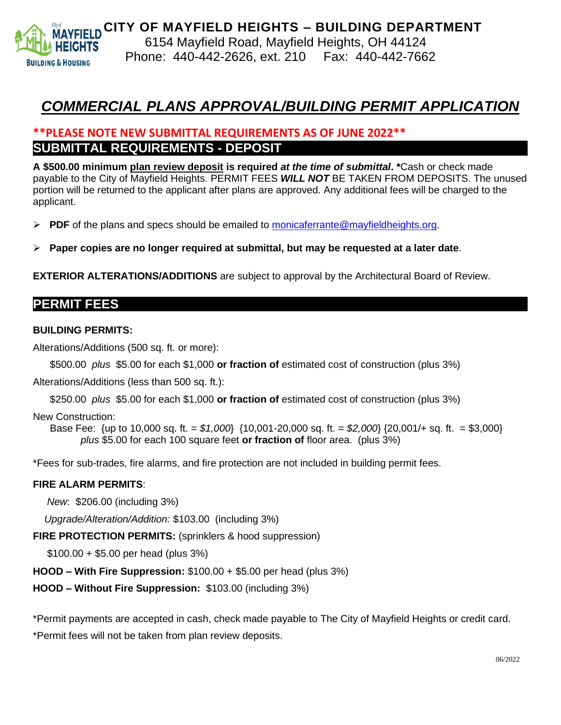

## *COMMERCIAL PLANS APPROVAL/BUILDING PERMIT APPLICATION*

## **\*\*PLEASE NOTE NEW SUBMITTAL REQUIREMENTS AS OF JUNE 2022\*\* SUBMITTAL REQUIREMENTS - DEPOSIT**

**A \$500.00 minimum plan review deposit is required** *at the time of submittal***. \***Cash or check made payable to the City of Mayfield Heights. PERMIT FEES *WILL NOT* BE TAKEN FROM DEPOSITS. The unused portion will be returned to the applicant after plans are approved. Any additional fees will be charged to the applicant.

- ➢ **PDF** of the plans and specs should be emailed to [monicaferrante@mayfieldheights.org.](mailto:monicaferrante@mayfieldheights.org)
- ➢ **Paper copies are no longer required at submittal, but may be requested at a later date**.

**EXTERIOR ALTERATIONS/ADDITIONS** are subject to approval by the Architectural Board of Review.

### **PERMIT FEES**

#### **BUILDING PERMITS:**

Alterations/Additions (500 sq. ft. or more):

\$500.00 *plus* \$5.00 for each \$1,000 **or fraction of** estimated cost of construction (plus 3%)

Alterations/Additions (less than 500 sq. ft.):

\$250.00 *plus* \$5.00 for each \$1,000 **or fraction of** estimated cost of construction (plus 3%)

New Construction:

Base Fee: {up to 10,000 sq. ft. = *\$1,000*} {10,001-20,000 sq. ft. = *\$2,000*} {20,001/+ sq. ft. = \$3,000} *plus* \$5.00 for each 100 square feet **or fraction of** floor area. (plus 3%)

\*Fees for sub-trades, fire alarms, and fire protection are not included in building permit fees.

#### **FIRE ALARM PERMITS**:

 *New*: \$206.00 (including 3%)

*Upgrade/Alteration/Addition:* \$103.00 (including 3%)

**FIRE PROTECTION PERMITS:** (sprinklers & hood suppression)

\$100.00 + \$5.00 per head (plus 3%)

**HOOD – With Fire Suppression:** \$100.00 + \$5.00 per head (plus 3%)

**HOOD – Without Fire Suppression:** \$103.00 (including 3%)

\*Permit payments are accepted in cash, check made payable to The City of Mayfield Heights or credit card. \*Permit fees will not be taken from plan review deposits.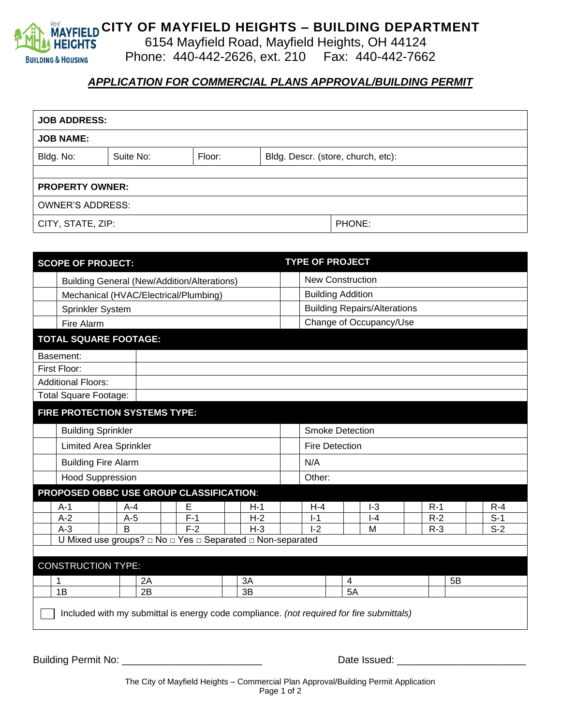

# **MAYFIELD CITY OF MAYFIELD HEIGHTS – BUILDING DEPARTMENT**

6154 Mayfield Road, Mayfield Heights, OH 44124

Phone: 440-442-2626, ext. 210 Fax: 440-442-7662

## *APPLICATION FOR COMMERCIAL PLANS APPROVAL/BUILDING PERMIT*

| <b>JOB ADDRESS:</b>     |           |                                              |        |  |  |  |
|-------------------------|-----------|----------------------------------------------|--------|--|--|--|
| <b>JOB NAME:</b>        |           |                                              |        |  |  |  |
| Bldg. No:               | Suite No: | Floor:<br>Bldg. Descr. (store, church, etc): |        |  |  |  |
|                         |           |                                              |        |  |  |  |
| <b>PROPERTY OWNER:</b>  |           |                                              |        |  |  |  |
| <b>OWNER'S ADDRESS:</b> |           |                                              |        |  |  |  |
| CITY, STATE, ZIP:       |           |                                              | PHONE: |  |  |  |

| <b>SCOPE OF PROJECT:</b>     |                                                    |  |         |          |                                                                                          | <b>TYPE OF PROJECT</b>  |                                     |       |   |         |  |       |    |       |  |
|------------------------------|----------------------------------------------------|--|---------|----------|------------------------------------------------------------------------------------------|-------------------------|-------------------------------------|-------|---|---------|--|-------|----|-------|--|
|                              | <b>Building General (New/Addition/Alterations)</b> |  |         |          |                                                                                          | <b>New Construction</b> |                                     |       |   |         |  |       |    |       |  |
|                              | Mechanical (HVAC/Electrical/Plumbing)              |  |         |          |                                                                                          |                         | <b>Building Addition</b>            |       |   |         |  |       |    |       |  |
|                              | Sprinkler System                                   |  |         |          |                                                                                          |                         | <b>Building Repairs/Alterations</b> |       |   |         |  |       |    |       |  |
|                              | Fire Alarm                                         |  |         |          |                                                                                          |                         | Change of Occupancy/Use             |       |   |         |  |       |    |       |  |
| <b>TOTAL SQUARE FOOTAGE:</b> |                                                    |  |         |          |                                                                                          |                         |                                     |       |   |         |  |       |    |       |  |
| Basement:                    |                                                    |  |         |          |                                                                                          |                         |                                     |       |   |         |  |       |    |       |  |
|                              | First Floor:                                       |  |         |          |                                                                                          |                         |                                     |       |   |         |  |       |    |       |  |
|                              | <b>Additional Floors:</b>                          |  |         |          |                                                                                          |                         |                                     |       |   |         |  |       |    |       |  |
|                              | <b>Total Square Footage:</b>                       |  |         |          |                                                                                          |                         |                                     |       |   |         |  |       |    |       |  |
|                              | FIRE PROTECTION SYSTEMS TYPE:                      |  |         |          |                                                                                          |                         |                                     |       |   |         |  |       |    |       |  |
|                              | <b>Building Sprinkler</b>                          |  |         |          |                                                                                          |                         | <b>Smoke Detection</b>              |       |   |         |  |       |    |       |  |
|                              | <b>Limited Area Sprinkler</b>                      |  |         |          |                                                                                          |                         | <b>Fire Detection</b>               |       |   |         |  |       |    |       |  |
|                              | <b>Building Fire Alarm</b>                         |  |         |          |                                                                                          |                         | N/A                                 |       |   |         |  |       |    |       |  |
|                              | <b>Hood Suppression</b>                            |  |         |          |                                                                                          |                         | Other:                              |       |   |         |  |       |    |       |  |
|                              |                                                    |  |         |          | PROPOSED OBBC USE GROUP CLASSIFICATION:                                                  |                         |                                     |       |   |         |  |       |    |       |  |
|                              | $A-1$                                              |  | $A - 4$ |          | E                                                                                        |                         | $H-1$                               | $H-4$ |   | $I-3$   |  | $R-1$ |    | $R-4$ |  |
|                              | $A-2$                                              |  | $A-5$   |          | $F-1$                                                                                    |                         | $H-2$                               | $I-1$ |   | $I - 4$ |  | $R-2$ |    | $S-1$ |  |
|                              | $A-3$                                              |  | B       |          | $F-2$                                                                                    |                         | $H-3$                               | $I-2$ |   | M       |  | $R-3$ |    | $S-2$ |  |
|                              |                                                    |  |         |          | U Mixed use groups? □ No □ Yes □ Separated □ Non-separated                               |                         |                                     |       |   |         |  |       |    |       |  |
|                              | <b>CONSTRUCTION TYPE:</b>                          |  |         |          |                                                                                          |                         |                                     |       |   |         |  |       |    |       |  |
|                              | 1                                                  |  |         | 3A<br>2A |                                                                                          |                         |                                     |       | 4 |         |  |       | 5B |       |  |
|                              | 1B                                                 |  | 2B      | 3B       |                                                                                          |                         |                                     | 5A    |   |         |  |       |    |       |  |
|                              |                                                    |  |         |          | Included with my submittal is energy code compliance. (not required for fire submittals) |                         |                                     |       |   |         |  |       |    |       |  |

Building Permit No: \_\_\_\_\_\_\_\_\_\_\_\_\_\_\_\_\_\_\_\_\_\_\_\_\_ Date Issued: \_\_\_\_\_\_\_\_\_\_\_\_\_\_\_\_\_\_\_\_\_\_\_